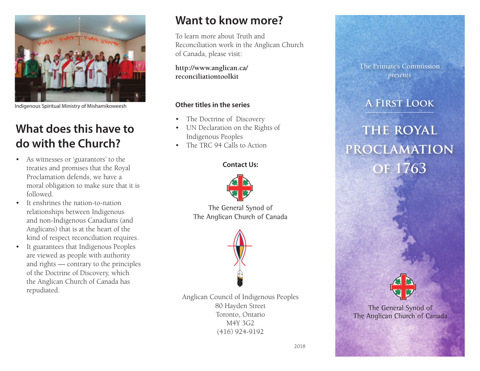

Indigenous Spiritual Ministry of Mishamikoweesh

# **What does this have to do with the Church?**

- As witnesses or 'guarantors' to the treaties and promises that the Royal Proclamation defends, we have a moral obligation to make sure that it is followed.
- It enshrines the nation-to-nation relationships between Indigenous and non-Indigenous Canadians (and Anglicans) that is at the heart of the kind of respect reconciliation requires.
- • It guarantees that Indigenous Peoples are viewed as people with authority and rights — contrary to the principles of the Doctrine of Discovery, which the Anglican Church of Canada has repudiated.

## **Want to know more?**

To learn more about Truth and Reconciliation work in the Anglican Church of Canada, please visit:

**http://www.anglican.ca/ reconciliationtoolkit**

### **Other titles in the series**

- The Doctrine of Discovery
- • UN Declaration on the Rights of Indigenous Peoples
- The TRC 94 Calls to Action

### **Contact Us:**



The General Synod of The Anglican Church of Canada



Anglican Council of Indigenous Peoples 80 Hayden Street Toronto, Ontario M4Y 3G2 (416) 924-9192



### **A First Look**

# **the royal proclamation of 1763**



The General Synod of The Anglican Church of Canada